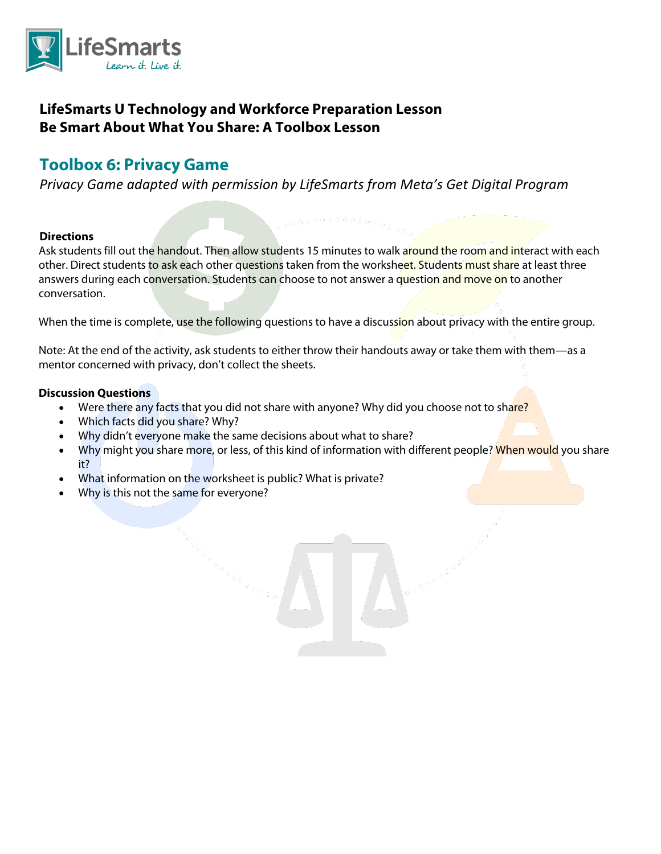

## **LifeSmarts U Technology and Workforce Preparation Lesson Be Smart About What You Share: A Toolbox Lesson**

# **Toolbox 6: Privacy Game**

*Privacy Game adapted with permission by LifeSmarts from Meta's Get Digital Program*

#### **Directions**

Ask students fill out the handout. Then allow students 15 minutes to walk around the room and interact with each other. Direct students to ask each other questions taken from the worksheet. Students must share at least three answers during each conversation. Students can choose to not answer a question and move on to another conversation.

When the time is complete, use the following questions to have a discussion about privacy with the entire group.

Note: At the end of the activity, ask students to either throw their handouts away or take them with them—as a mentor concerned with privacy, don't collect the sheets.

#### **Discussion Questions**

- Were there any facts that you did not share with anyone? Why did you choose not to share?
- Which facts did you share? Why?
- Why didn't everyone make the same decisions about what to share?
- Why might you share more, or less, of this kind of information with different people? When would you share it?
- What information on the worksheet is public? What is private?
- Why is this not the same for everyone?